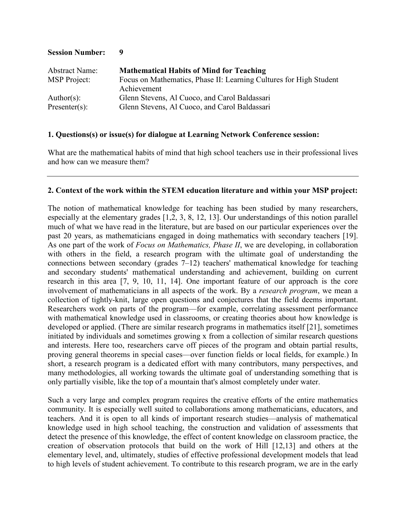| <b>Abstract Name:</b> | <b>Mathematical Habits of Mind for Teaching</b>                                   |
|-----------------------|-----------------------------------------------------------------------------------|
| <b>MSP</b> Project:   | Focus on Mathematics, Phase II: Learning Cultures for High Student<br>Achievement |
| $Author(s)$ :         | Glenn Stevens, Al Cuoco, and Carol Baldassari                                     |
| $Presenter(s)$ :      | Glenn Stevens, Al Cuoco, and Carol Baldassari                                     |

**Session Number: 9**

### **1. Questions(s) or issue(s) for dialogue at Learning Network Conference session:**

What are the mathematical habits of mind that high school teachers use in their professional lives and how can we measure them?

#### **2. Context of the work within the STEM education literature and within your MSP project:**

The notion of mathematical knowledge for teaching has been studied by many researchers, especially at the elementary grades [1,2, 3, 8, 12, 13]. Our understandings of this notion parallel much of what we have read in the literature, but are based on our particular experiences over the past 20 years, as mathematicians engaged in doing mathematics with secondary teachers [19]. As one part of the work of *Focus on Mathematics, Phase II*, we are developing, in collaboration with others in the field, a research program with the ultimate goal of understanding the connections between secondary (grades 7–12) teachers' mathematical knowledge for teaching and secondary students' mathematical understanding and achievement, building on current research in this area [7, 9, 10, 11, 14]. One important feature of our approach is the core involvement of mathematicians in all aspects of the work. By a *research program*, we mean a collection of tightly-knit, large open questions and conjectures that the field deems important. Researchers work on parts of the program––for example, correlating assessment performance with mathematical knowledge used in classrooms, or creating theories about how knowledge is developed or applied. (There are similar research programs in mathematics itself [21], sometimes initiated by individuals and sometimes growing x from a collection of similar research questions and interests. Here too, researchers carve off pieces of the program and obtain partial results, proving general theorems in special cases––over function fields or local fields, for example.) In short, a research program is a dedicated effort with many contributors, many perspectives, and many methodologies, all working towards the ultimate goal of understanding something that is only partially visible, like the top of a mountain that's almost completely under water.

Such a very large and complex program requires the creative efforts of the entire mathematics community. It is especially well suited to collaborations among mathematicians, educators, and teachers. And it is open to all kinds of important research studies––analysis of mathematical knowledge used in high school teaching, the construction and validation of assessments that detect the presence of this knowledge, the effect of content knowledge on classroom practice, the creation of observation protocols that build on the work of Hill [12,13] and others at the elementary level, and, ultimately, studies of effective professional development models that lead to high levels of student achievement. To contribute to this research program, we are in the early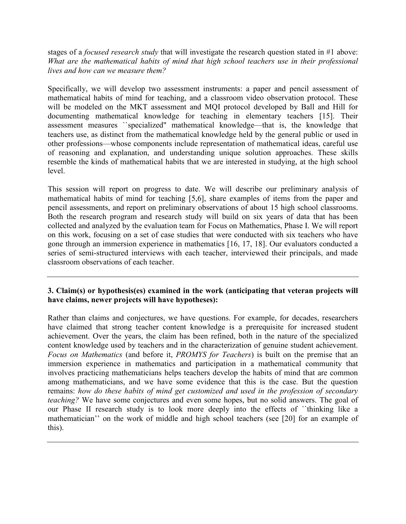stages of a *focused research study* that will investigate the research question stated in #1 above: *What are the mathematical habits of mind that high school teachers use in their professional lives and how can we measure them?*

Specifically, we will develop two assessment instruments: a paper and pencil assessment of mathematical habits of mind for teaching, and a classroom video observation protocol. These will be modeled on the MKT assessment and MQI protocol developed by Ball and Hill for documenting mathematical knowledge for teaching in elementary teachers [15]. Their assessment measures ``specialized" mathematical knowledge––that is, the knowledge that teachers use, as distinct from the mathematical knowledge held by the general public or used in other professions––whose components include representation of mathematical ideas, careful use of reasoning and explanation, and understanding unique solution approaches. These skills resemble the kinds of mathematical habits that we are interested in studying, at the high school level.

This session will report on progress to date. We will describe our preliminary analysis of mathematical habits of mind for teaching [5,6], share examples of items from the paper and pencil assessments, and report on preliminary observations of about 15 high school classrooms. Both the research program and research study will build on six years of data that has been collected and analyzed by the evaluation team for Focus on Mathematics, Phase I. We will report on this work, focusing on a set of case studies that were conducted with six teachers who have gone through an immersion experience in mathematics [16, 17, 18]. Our evaluators conducted a series of semi-structured interviews with each teacher, interviewed their principals, and made classroom observations of each teacher.

# **3. Claim(s) or hypothesis(es) examined in the work (anticipating that veteran projects will have claims, newer projects will have hypotheses):**

Rather than claims and conjectures, we have questions. For example, for decades, researchers have claimed that strong teacher content knowledge is a prerequisite for increased student achievement. Over the years, the claim has been refined, both in the nature of the specialized content knowledge used by teachers and in the characterization of genuine student achievement. *Focus on Mathematics* (and before it, *PROMYS for Teachers*) is built on the premise that an immersion experience in mathematics and participation in a mathematical community that involves practicing mathematicians helps teachers develop the habits of mind that are common among mathematicians, and we have some evidence that this is the case. But the question remains: *how do these habits of mind get customized and used in the profession of secondary teaching?* We have some conjectures and even some hopes, but no solid answers. The goal of our Phase II research study is to look more deeply into the effects of ``thinking like a mathematician'' on the work of middle and high school teachers (see [20] for an example of this).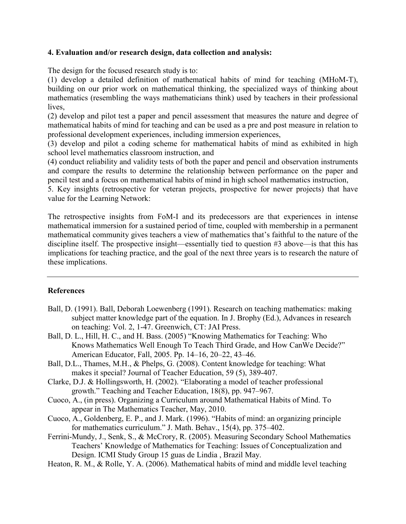### **4. Evaluation and/or research design, data collection and analysis:**

The design for the focused research study is to:

(1) develop a detailed definition of mathematical habits of mind for teaching (MHoM-T), building on our prior work on mathematical thinking, the specialized ways of thinking about mathematics (resembling the ways mathematicians think) used by teachers in their professional lives,

(2) develop and pilot test a paper and pencil assessment that measures the nature and degree of mathematical habits of mind for teaching and can be used as a pre and post measure in relation to professional development experiences, including immersion experiences,

(3) develop and pilot a coding scheme for mathematical habits of mind as exhibited in high school level mathematics classroom instruction, and

(4) conduct reliability and validity tests of both the paper and pencil and observation instruments and compare the results to determine the relationship between performance on the paper and pencil test and a focus on mathematical habits of mind in high school mathematics instruction,

5. Key insights (retrospective for veteran projects, prospective for newer projects) that have value for the Learning Network:

The retrospective insights from FoM-I and its predecessors are that experiences in intense mathematical immersion for a sustained period of time, coupled with membership in a permanent mathematical community gives teachers a view of mathematics that's faithful to the nature of the discipline itself. The prospective insight––essentially tied to question #3 above––is that this has implications for teaching practice, and the goal of the next three years is to research the nature of these implications.

# **References**

- Ball, D. (1991). Ball, Deborah Loewenberg (1991). Research on teaching mathematics: making subject matter knowledge part of the equation. In J. Brophy (Ed.), Advances in research on teaching: Vol. 2, 1-47. Greenwich, CT: JAI Press.
- Ball, D. L., Hill, H. C., and H. Bass. (2005) "Knowing Mathematics for Teaching: Who Knows Mathematics Well Enough To Teach Third Grade, and How CanWe Decide?" American Educator, Fall, 2005. Pp. 14–16, 20–22, 43–46.
- Ball, D.L., Thames, M.H., & Phelps, G. (2008). Content knowledge for teaching: What makes it special? Journal of Teacher Education, 59 (5), 389-407.
- Clarke, D.J. & Hollingsworth, H. (2002). "Elaborating a model of teacher professional growth." Teaching and Teacher Education, 18(8), pp. 947–967.
- Cuoco, A., (in press). Organizing a Curriculum around Mathematical Habits of Mind. To appear in The Mathematics Teacher, May, 2010.
- Cuoco, A., Goldenberg, E. P., and J. Mark. (1996). "Habits of mind: an organizing principle for mathematics curriculum." J. Math. Behav., 15(4), pp. 375–402.
- Ferrini-Mundy, J., Senk, S., & McCrory, R. (2005). Measuring Secondary School Mathematics Teachers' Knowledge of Mathematics for Teaching: Issues of Conceptualization and Design. ICMI Study Group 15 guas de Lindia , Brazil May.
- Heaton, R. M., & Rolle, Y. A. (2006). Mathematical habits of mind and middle level teaching